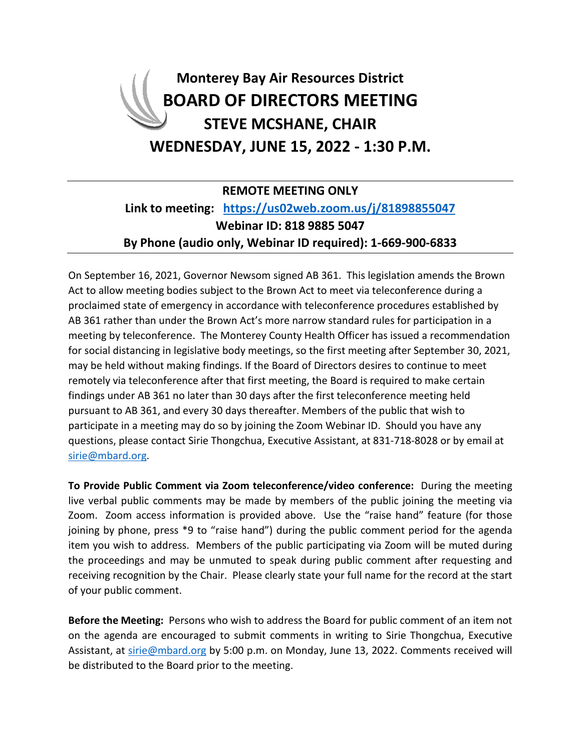# **Monterey Bay Air Resources District BOARD OF DIRECTORS MEETING STEVE MCSHANE, CHAIR WEDNESDAY, JUNE 15, 2022 - 1:30 P.M.**

### **REMOTE MEETING ONLY Link to meeting: <https://us02web.zoom.us/j/81898855047> Webinar ID: 818 9885 5047 By Phone (audio only, Webinar ID required): 1-669-900-6833**

On September 16, 2021, Governor Newsom signed AB 361. This legislation amends the Brown Act to allow meeting bodies subject to the Brown Act to meet via teleconference during a proclaimed state of emergency in accordance with teleconference procedures established by AB 361 rather than under the Brown Act's more narrow standard rules for participation in a meeting by teleconference. The Monterey County Health Officer has issued a recommendation for social distancing in legislative body meetings, so the first meeting after September 30, 2021, may be held without making findings. If the Board of Directors desires to continue to meet remotely via teleconference after that first meeting, the Board is required to make certain findings under AB 361 no later than 30 days after the first teleconference meeting held pursuant to AB 361, and every 30 days thereafter. Members of the public that wish to participate in a meeting may do so by joining the Zoom Webinar ID. Should you have any questions, please contact Sirie Thongchua, Executive Assistant, at 831-718-8028 or by email at [sirie@mbard.org.](mailto:sirie@mbard.org)

**To Provide Public Comment via Zoom teleconference/video conference:** During the meeting live verbal public comments may be made by members of the public joining the meeting via Zoom. Zoom access information is provided above. Use the "raise hand" feature (for those joining by phone, press \*9 to "raise hand") during the public comment period for the agenda item you wish to address. Members of the public participating via Zoom will be muted during the proceedings and may be unmuted to speak during public comment after requesting and receiving recognition by the Chair. Please clearly state your full name for the record at the start of your public comment.

**Before the Meeting:** Persons who wish to address the Board for public comment of an item not on the agenda are encouraged to submit comments in writing to Sirie Thongchua, Executive Assistant, at [sirie@mbard.org](mailto:sirie@mbard.org) by 5:00 p.m. on Monday, June 13, 2022. Comments received will be distributed to the Board prior to the meeting.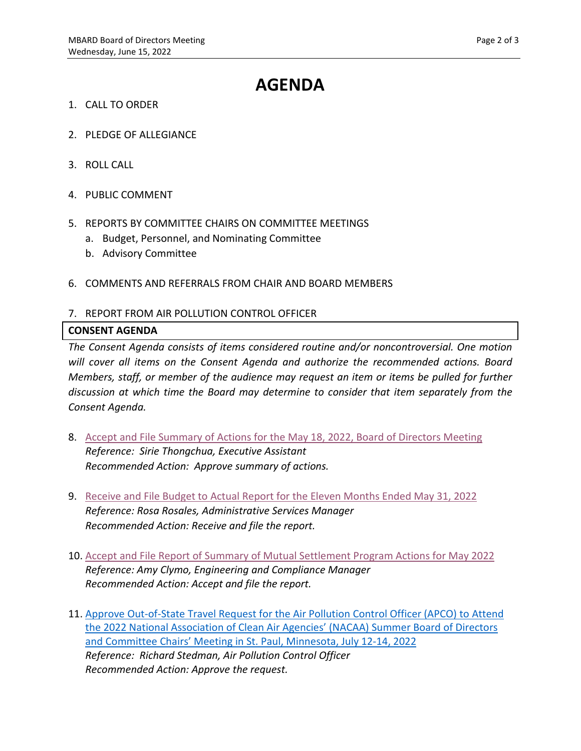## **AGENDA**

- 1. CALL TO ORDER
- 2. PLEDGE OF ALLEGIANCE
- 3. ROLL CALL
- 4. PUBLIC COMMENT
- 5. REPORTS BY COMMITTEE CHAIRS ON COMMITTEE MEETINGS
	- a. Budget, Personnel, and Nominating Committee
	- b. Advisory Committee
- 6. COMMENTS AND REFERRALS FROM CHAIR AND BOARD MEMBERS

#### 7. REPORT FROM AIR POLLUTION CONTROL OFFICER

#### **CONSENT AGENDA**

*The Consent Agenda consists of items considered routine and/or noncontroversial. One motion will cover all items on the Consent Agenda and authorize the recommended actions. Board Members, staff, or member of the audience may request an item or items be pulled for further discussion at which time the Board may determine to consider that item separately from the Consent Agenda.*

- 8. [Accept and File Summary of Actions for the](https://www.mbard.org/files/06ec8fde0/8+5-18-2022+BODRegularMinutesPacket.pdf) May 18, 2022, Board of Directors Meeting *Reference: Sirie Thongchua, Executive Assistant Recommended Action: Approve summary of actions.*
- 9. [Receive and File Budget to Actual Report for the Eleven](https://www.mbard.org/files/48bf4229e/9+Staff+Rept_Budget+Report+Per+End+May+31+2022.pdf) Months Ended May 31, 2022 *Reference: Rosa Rosales, Administrative Services Manager Recommended Action: Receive and file the report.*
- 10. [Accept and File Report of Summary of Mutual Settlement Program Actions for May](https://www.mbard.org/files/ad3348fc3/10+ConsentMutSetJune2022.pdf) 2022 *Reference: Amy Clymo, Engineering and Compliance Manager Recommended Action: Accept and file the report.*
- 11. [Approve Out-of-State Travel Request for the Air Pollution Control Officer \(APCO\) to Attend](https://www.mbard.org/files/acbc8680a/11+ConsentOut+of+State+Travel+APCO+-+StPaulMN.pdf)  [the 2022 National Association of Clean Air Agencies' \(NACAA\) Summer Board of Directors](https://www.mbard.org/files/acbc8680a/11+ConsentOut+of+State+Travel+APCO+-+StPaulMN.pdf)  [and Committee Chairs' Meeting in St. Paul, Minnesota, July 12-14, 2022](https://www.mbard.org/files/acbc8680a/11+ConsentOut+of+State+Travel+APCO+-+StPaulMN.pdf) *Reference: Richard Stedman, Air Pollution Control Officer Recommended Action: Approve the request.*